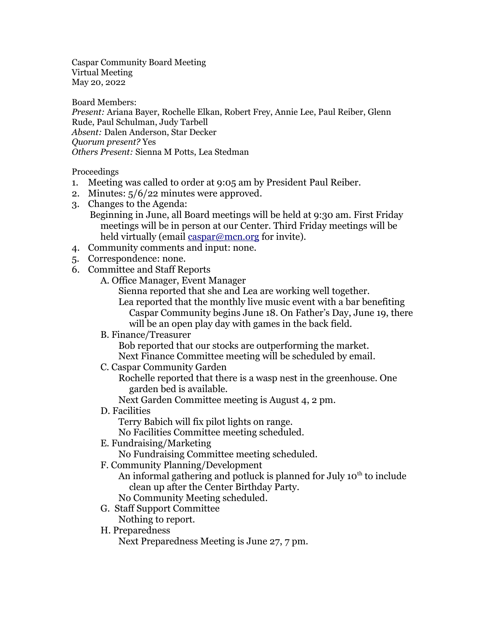Caspar Community Board Meeting Virtual Meeting May 20, 2022

Board Members: *Present:* Ariana Bayer, Rochelle Elkan, Robert Frey, Annie Lee, Paul Reiber, Glenn Rude, Paul Schulman, Judy Tarbell *Absent:* Dalen Anderson, Star Decker *Quorum present?* Yes *Others Present:* Sienna M Potts, Lea Stedman

## Proceedings

- 1. Meeting was called to order at 9:05 am by President Paul Reiber.
- 2. Minutes: 5/6/22 minutes were approved.
- 3. Changes to the Agenda:

Beginning in June, all Board meetings will be held at 9:30 am. First Friday meetings will be in person at our Center. Third Friday meetings will be held virtually (email [caspar@mcn.org](mailto:caspar@mcn.org?subject=Board%20Meeting%20Invitation) for invite).

- 4. Community comments and input: none.
- 5. Correspondence: none.
- 6. Committee and Staff Reports
	- A. Office Manager, Event Manager

Sienna reported that she and Lea are working well together.

Lea reported that the monthly live music event with a bar benefiting Caspar Community begins June 18. On Father's Day, June 19, there will be an open play day with games in the back field.

B. Finance/Treasurer

Bob reported that our stocks are outperforming the market.

Next Finance Committee meeting will be scheduled by email.

C. Caspar Community Garden

Rochelle reported that there is a wasp nest in the greenhouse. One garden bed is available.

Next Garden Committee meeting is August 4, 2 pm.

D. Facilities

Terry Babich will fix pilot lights on range.

No Facilities Committee meeting scheduled.

E. Fundraising/Marketing

No Fundraising Committee meeting scheduled.

F. Community Planning/Development

An informal gathering and potluck is planned for July  $10<sup>th</sup>$  to include clean up after the Center Birthday Party.

No Community Meeting scheduled.

- G. Staff Support Committee Nothing to report.
- H. Preparedness

Next Preparedness Meeting is June 27, 7 pm.